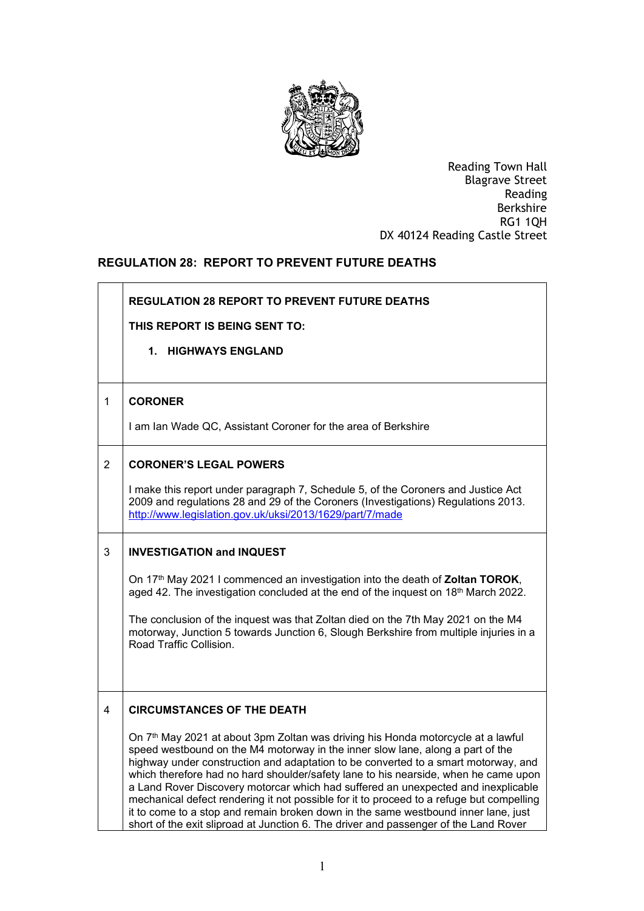

 Reading Town Hall DX 40124 Reading Castle Street Blagrave Street Reading Berkshire RG1 1QH

## **REGULATION 28: REPORT TO PREVENT FUTURE DEATHS**

|                | <b>REGULATION 28 REPORT TO PREVENT FUTURE DEATHS</b><br>THIS REPORT IS BEING SENT TO:<br>1. HIGHWAYS ENGLAND                                                                                                                                                                                                                                                                                                                                                                                                                                                                                                                                                                                                                                                    |
|----------------|-----------------------------------------------------------------------------------------------------------------------------------------------------------------------------------------------------------------------------------------------------------------------------------------------------------------------------------------------------------------------------------------------------------------------------------------------------------------------------------------------------------------------------------------------------------------------------------------------------------------------------------------------------------------------------------------------------------------------------------------------------------------|
| $\mathbf 1$    | <b>CORONER</b><br>I am Ian Wade QC, Assistant Coroner for the area of Berkshire                                                                                                                                                                                                                                                                                                                                                                                                                                                                                                                                                                                                                                                                                 |
| $\overline{2}$ | <b>CORONER'S LEGAL POWERS</b><br>I make this report under paragraph 7, Schedule 5, of the Coroners and Justice Act<br>2009 and regulations 28 and 29 of the Coroners (Investigations) Regulations 2013.<br>http://www.legislation.gov.uk/uksi/2013/1629/part/7/made                                                                                                                                                                                                                                                                                                                                                                                                                                                                                             |
| 3              | <b>INVESTIGATION and INQUEST</b><br>On 17 <sup>th</sup> May 2021 I commenced an investigation into the death of <b>Zoltan TOROK</b> ,<br>aged 42. The investigation concluded at the end of the inquest on 18 <sup>th</sup> March 2022.<br>The conclusion of the inquest was that Zoltan died on the 7th May 2021 on the M4<br>motorway, Junction 5 towards Junction 6, Slough Berkshire from multiple injuries in a<br>Road Traffic Collision.                                                                                                                                                                                                                                                                                                                 |
| 4              | <b>CIRCUMSTANCES OF THE DEATH</b><br>On 7 <sup>th</sup> May 2021 at about 3pm Zoltan was driving his Honda motorcycle at a lawful<br>speed westbound on the M4 motorway in the inner slow lane, along a part of the<br>highway under construction and adaptation to be converted to a smart motorway, and<br>which therefore had no hard shoulder/safety lane to his nearside, when he came upon<br>a Land Rover Discovery motorcar which had suffered an unexpected and inexplicable<br>mechanical defect rendering it not possible for it to proceed to a refuge but compelling<br>it to come to a stop and remain broken down in the same westbound inner lane, just<br>short of the exit sliproad at Junction 6. The driver and passenger of the Land Rover |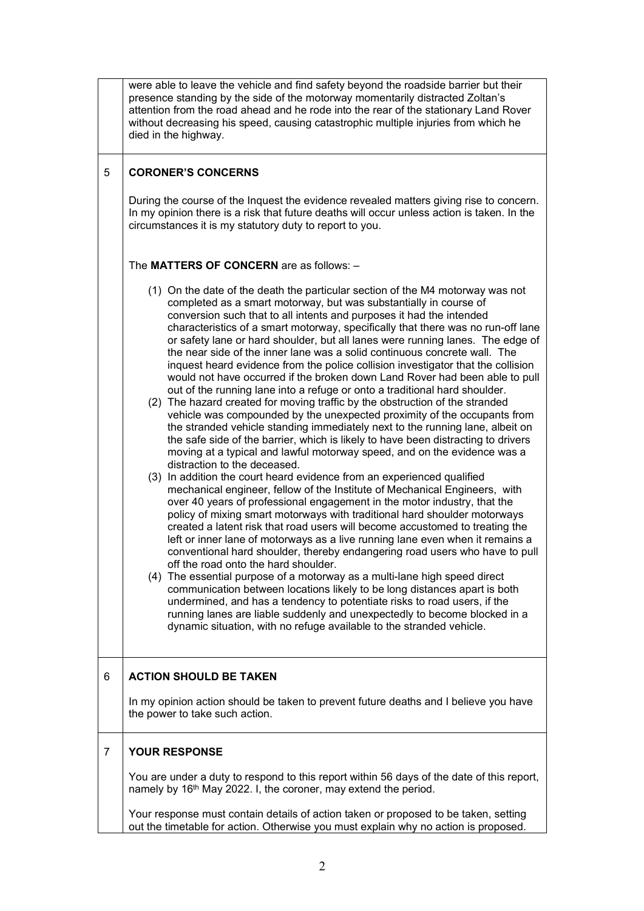|   | were able to leave the vehicle and find safety beyond the roadside barrier but their<br>presence standing by the side of the motorway momentarily distracted Zoltan's<br>attention from the road ahead and he rode into the rear of the stationary Land Rover<br>without decreasing his speed, causing catastrophic multiple injuries from which he<br>died in the highway.                                                                                                                                                                                                                                                                                                                                                                                                                                                                                                                                                                                                                                                                                                                                                                                                                                                                                                                                                                                                                                                                                                                                                                                                                                                                                                                                                                                                                                                                                                                                                                                                                                                                                                                                                                                                       |
|---|-----------------------------------------------------------------------------------------------------------------------------------------------------------------------------------------------------------------------------------------------------------------------------------------------------------------------------------------------------------------------------------------------------------------------------------------------------------------------------------------------------------------------------------------------------------------------------------------------------------------------------------------------------------------------------------------------------------------------------------------------------------------------------------------------------------------------------------------------------------------------------------------------------------------------------------------------------------------------------------------------------------------------------------------------------------------------------------------------------------------------------------------------------------------------------------------------------------------------------------------------------------------------------------------------------------------------------------------------------------------------------------------------------------------------------------------------------------------------------------------------------------------------------------------------------------------------------------------------------------------------------------------------------------------------------------------------------------------------------------------------------------------------------------------------------------------------------------------------------------------------------------------------------------------------------------------------------------------------------------------------------------------------------------------------------------------------------------------------------------------------------------------------------------------------------------|
| 5 | <b>CORONER'S CONCERNS</b><br>During the course of the Inquest the evidence revealed matters giving rise to concern.<br>In my opinion there is a risk that future deaths will occur unless action is taken. In the<br>circumstances it is my statutory duty to report to you.                                                                                                                                                                                                                                                                                                                                                                                                                                                                                                                                                                                                                                                                                                                                                                                                                                                                                                                                                                                                                                                                                                                                                                                                                                                                                                                                                                                                                                                                                                                                                                                                                                                                                                                                                                                                                                                                                                      |
|   | The MATTERS OF CONCERN are as follows: -                                                                                                                                                                                                                                                                                                                                                                                                                                                                                                                                                                                                                                                                                                                                                                                                                                                                                                                                                                                                                                                                                                                                                                                                                                                                                                                                                                                                                                                                                                                                                                                                                                                                                                                                                                                                                                                                                                                                                                                                                                                                                                                                          |
|   | (1) On the date of the death the particular section of the M4 motorway was not<br>completed as a smart motorway, but was substantially in course of<br>conversion such that to all intents and purposes it had the intended<br>characteristics of a smart motorway, specifically that there was no run-off lane<br>or safety lane or hard shoulder, but all lanes were running lanes. The edge of<br>the near side of the inner lane was a solid continuous concrete wall. The<br>inquest heard evidence from the police collision investigator that the collision<br>would not have occurred if the broken down Land Rover had been able to pull<br>out of the running lane into a refuge or onto a traditional hard shoulder.<br>(2) The hazard created for moving traffic by the obstruction of the stranded<br>vehicle was compounded by the unexpected proximity of the occupants from<br>the stranded vehicle standing immediately next to the running lane, albeit on<br>the safe side of the barrier, which is likely to have been distracting to drivers<br>moving at a typical and lawful motorway speed, and on the evidence was a<br>distraction to the deceased.<br>(3) In addition the court heard evidence from an experienced qualified<br>mechanical engineer, fellow of the Institute of Mechanical Engineers, with<br>over 40 years of professional engagement in the motor industry, that the<br>policy of mixing smart motorways with traditional hard shoulder motorways<br>created a latent risk that road users will become accustomed to treating the<br>left or inner lane of motorways as a live running lane even when it remains a<br>conventional hard shoulder, thereby endangering road users who have to pull<br>off the road onto the hard shoulder.<br>(4) The essential purpose of a motorway as a multi-lane high speed direct<br>communication between locations likely to be long distances apart is both<br>undermined, and has a tendency to potentiate risks to road users, if the<br>running lanes are liable suddenly and unexpectedly to become blocked in a<br>dynamic situation, with no refuge available to the stranded vehicle. |
| 6 | <b>ACTION SHOULD BE TAKEN</b>                                                                                                                                                                                                                                                                                                                                                                                                                                                                                                                                                                                                                                                                                                                                                                                                                                                                                                                                                                                                                                                                                                                                                                                                                                                                                                                                                                                                                                                                                                                                                                                                                                                                                                                                                                                                                                                                                                                                                                                                                                                                                                                                                     |
|   | In my opinion action should be taken to prevent future deaths and I believe you have<br>the power to take such action.                                                                                                                                                                                                                                                                                                                                                                                                                                                                                                                                                                                                                                                                                                                                                                                                                                                                                                                                                                                                                                                                                                                                                                                                                                                                                                                                                                                                                                                                                                                                                                                                                                                                                                                                                                                                                                                                                                                                                                                                                                                            |
| 7 | YOUR RESPONSE                                                                                                                                                                                                                                                                                                                                                                                                                                                                                                                                                                                                                                                                                                                                                                                                                                                                                                                                                                                                                                                                                                                                                                                                                                                                                                                                                                                                                                                                                                                                                                                                                                                                                                                                                                                                                                                                                                                                                                                                                                                                                                                                                                     |
|   | You are under a duty to respond to this report within 56 days of the date of this report,<br>namely by 16th May 2022. I, the coroner, may extend the period.                                                                                                                                                                                                                                                                                                                                                                                                                                                                                                                                                                                                                                                                                                                                                                                                                                                                                                                                                                                                                                                                                                                                                                                                                                                                                                                                                                                                                                                                                                                                                                                                                                                                                                                                                                                                                                                                                                                                                                                                                      |
|   | Your response must contain details of action taken or proposed to be taken, setting<br>out the timetable for action. Otherwise you must explain why no action is proposed.                                                                                                                                                                                                                                                                                                                                                                                                                                                                                                                                                                                                                                                                                                                                                                                                                                                                                                                                                                                                                                                                                                                                                                                                                                                                                                                                                                                                                                                                                                                                                                                                                                                                                                                                                                                                                                                                                                                                                                                                        |